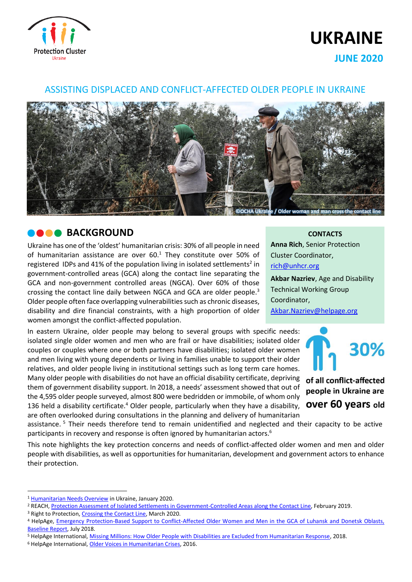

# **UKRAINE**

**JUNE 2020**

### ASSISTING DISPLACED AND CONFLICT-AFFECTED OLDER PEOPLE IN UKRAINE



### **BACKGROUND**

Ukraine has one of the 'oldest' humanitarian crisis: 30% of all people in need of humanitarian assistance are over  $60<sup>1</sup>$  They constitute over 50% of registered IDPs and 41% of the population living in isolated settlements<sup>2</sup> in government-controlled areas (GCA) along the contact line separating the GCA and non-government controlled areas (NGCA). Over 60% of those crossing the contact line daily between NGCA and GCA are older people.<sup>3</sup> Older people often face overlapping vulnerabilities such as chronic diseases, disability and dire financial constraints, with a high proportion of older women amongst the conflict-affected population.

In eastern Ukraine, older people may belong to several groups with specific needs: isolated single older women and men who are frail or have disabilities; isolated older couples or couples where one or both partners have disabilities; isolated older women and men living with young dependents or living in families unable to support their older relatives, and older people living in institutional settings such as long term care homes. Many older people with disabilities do not have an official disability certificate, depriving them of government disability support. In 2018, a needs' assessment showed that out of the 4,595 older people surveyed, almost 800 were bedridden or immobile, of whom only 136 held a disability certificate.<sup>4</sup> Older people, particularly when they have a disability, are often overlooked during consultations in the planning and delivery of humanitarian

**CONTACTS**

**Anna Rich**, Senior Protection Cluster Coordinator, [rich@unhcr.org](mailto:rich@unhcr.org)

**Akbar Nazriev**, Age and Disability Technical Working Group Coordinator, Akbar.Nazriev@helpage.org



of all conflict-affected people in Ukraine are over 60 years old

assistance.<sup>5</sup> Their needs therefore tend to remain unidentified and neglected and their capacity to be active participants in recovery and response is often ignored by humanitarian actors.<sup>6</sup>

This note highlights the key protection concerns and needs of conflict-affected older women and men and older people with disabilities, as well as opportunities for humanitarian, development and government actors to enhance their protection.

<sup>1</sup> [Humanitarian Needs Overview](https://www.humanitarianresponse.info/en/operations/ukraine/document/ukraine-2020-humanitarian-needs-overview-hno) in Ukraine, January 2020.

<sup>2</sup> REACH, [Protection Assessment of Isolated Settlements in Government-Controlled Areas along the Contact Line,](https://reliefweb.int/sites/reliefweb.int/files/resources/reach_ukr_report_protection_assessment_february_2019.pdf) February 2019.

<sup>&</sup>lt;sup>3</sup> Right to Protection[, Crossing the Contact Line,](https://app.powerbi.com/view?r=eyJrIjoiOGY0ZDIwOWYtYTUxYi00ODQ1LTk2YjItYTUzMzRkYzY5NDQ2IiwidCI6ImU1YzM3OTgxLTY2NjQtNDEzNC04YTBjLTY1NDNkMmFmODBiZSIsImMiOjh9) March 2020.

<sup>4</sup> HelpAge, [Emergency Protection-Based Support to Conflict-Affected Older Women and Men in the GCA of Luhansk](https://www.humanitarianresponse.info/sites/www.humanitarianresponse.info/files/documents/files/helpage_baseline_report_usaid_echo_july_2018.pdf) and Donetsk Oblasts, [Baseline Report,](https://www.humanitarianresponse.info/sites/www.humanitarianresponse.info/files/documents/files/helpage_baseline_report_usaid_echo_july_2018.pdf) July 2018.

<sup>5</sup> HelpAge International, [Missing Millions: How Older People with Disabilities are Excluded from Humanitarian Response,](https://www.helpage.org/newsroom/latest-news/millions-of-older-people-with-disabilities-risk-being-excluded-from-humanitarian-assistance-new-helpage-report-reveals/) 2018.

<sup>&</sup>lt;sup>6</sup> HelpAge International[, Older Voices in Humanitarian Crises,](https://www.ageinternational.org.uk/globalassets/documents/older-voices-in-humanitarian-crises---report.pdf) 2016.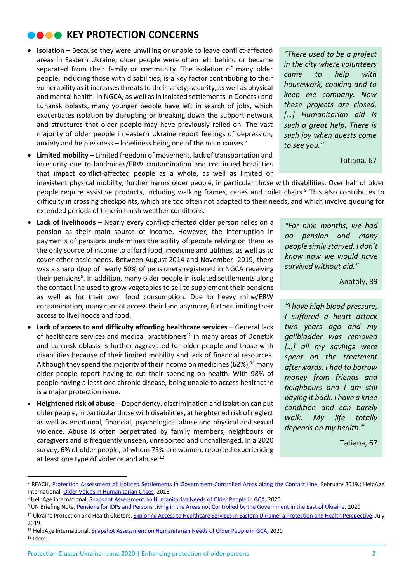# **NOOK KEY PROTECTION CONCERNS**

- **Isolation** Because they were unwilling or unable to leave conflict-affected areas in Eastern Ukraine, older people were often left behind or became separated from their family or community. The isolation of many older people, including those with disabilities, is a key factor contributing to their vulnerability as it increases threats to their safety, security, as well as physical and mental health. In NGCA, as well as in isolated settlements in Donetsk and Luhansk oblasts, many younger people have left in search of jobs, which exacerbates isolation by disrupting or breaking down the support network and structures that older people may have previously relied on. The vast majority of older people in eastern Ukraine report feelings of depression, anxiety and helplessness – loneliness being one of the main causes.<sup>7</sup>
- **Limited mobility** Limited freedom of movement, lack of transportation and insecurity due to landmines/ERW contamination and continued hostilities that impact conflict-affected people as a whole, as well as limited or

*"There used to be a project in the city where volunteers came to help with housework, cooking and to keep me company. Now these projects are closed. […] Humanitarian aid is such a great help. There is such joy when guests come to see you."*

Tatiana, 67

inexistent physical mobility, further harms older people, in particular those with disabilities. Over half of older people require assistive products, including walking frames, canes and toilet chairs.<sup>8</sup> This also contributes to difficulty in crossing checkpoints, which are too often not adapted to their needs, and which involve queuing for extended periods of time in harsh weather conditions.

- **Lack of livelihoods** Nearly every conflict-affected older person relies on a pension as their main source of income. However, the interruption in payments of pensions undermines the ability of people relying on them as the only source of income to afford food, medicine and utilities, as well as to cover other basic needs. Between August 2014 and November 2019, there was a sharp drop of nearly 50% of pensioners registered in NGCA receiving their pensions<sup>9</sup>. In addition, many older people in isolated settlements along the contact line used to grow vegetables to sell to supplement their pensions as well as for their own food consumption. Due to heavy mine/ERW contamination, many cannot access their land anymore, further limiting their access to livelihoods and food.
- **Lack of access to and difficulty affording healthcare services** General lack of healthcare services and medical practitioners $10$  in many areas of Donetsk and Luhansk oblasts is further aggravated for older people and those with disabilities because of their limited mobility and lack of financial resources. Although they spend the majority of their income on medicines (62%), $^{11}$  many older people report having to cut their spending on health. With 98% of people having a least one chronic disease, being unable to access healthcare is a major protection issue.
- **Heightened risk of abuse** Dependency, discrimination and isolation can put older people, in particular those with disabilities, at heightened risk of neglect as well as emotional, financial, psychological abuse and physical and sexual violence. Abuse is often perpetrated by family members, neighbours or caregivers and is frequently unseen, unreported and unchallenged. In a 2020 survey, 6% of older people, of whom 73% are women, reported experiencing at least one type of violence and abuse.<sup>12</sup>

*"For nine months, we had no pension and many people simly starved. I don't know how we would have survived without aid."*

Anatoly, 89

*"I have high blood pressure, I suffered a heart attack two years ago and my gallbladder was removed […] all my savings were spent on the treatment afterwards. I had to borrow money from friends and neighbours and I am still paying it back. I have a knee condition and can barely walk. My life totally depends on my health."*

Tatiana, 67

<sup>7</sup> REACH, [Protection Assessment of Isolated Settlements in Government-Controlled Areas along the Contact Line,](https://reliefweb.int/sites/reliefweb.int/files/resources/reach_ukr_report_protection_assessment_february_2019.pdf) February 2019.; HelpAge International[, Older Voices in Humanitarian Crises,](https://www.ageinternational.org.uk/globalassets/documents/older-voices-in-humanitarian-crises---report.pdf) 2016.

<sup>8</sup> HelpAge International, [Snapshot Assessment on Humanitarian Needs of Older People in GCA,](https://www.humanitarianresponse.info/sites/www.humanitarianresponse.info/files/documents/files/snapshot_older_people_needs_2020_eng.pdf) 2020

<sup>9</sup> UN Briefing Note, [Pensions for IDPs and Persons Living in the Areas not Controlled by the Government in the East of Ukraine,](http://www.un.org.ua/images/documents/4719/Briefing%20Note%20on%20Pensions-eng.pdf) 2020

<sup>10</sup> Ukraine Protection and Health Clusters[, Exploring Access to Healthcare Services in Eastern Ukraine: a Protection and Health Perspective,](https://www.humanitarianresponse.info/sites/www.humanitarianresponse.info/files/2019/07/2019-07-Exploring-access-to-health-care-services-in-Ukraine_ENG.pdf) July 2019.

<sup>11</sup> HelpAge International, [Snapshot Assessment on Humanitarian Needs of Older People in GCA,](https://www.humanitarianresponse.info/sites/www.humanitarianresponse.info/files/documents/files/snapshot_older_people_needs_2020_eng.pdf) 2020  $12$  Idem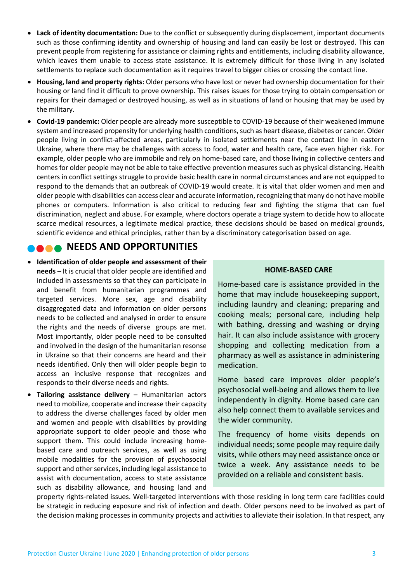- **Lack of identity documentation:** Due to the conflict or subsequently during displacement, important documents such as those confirming identity and ownership of housing and land can easily be lost or destroyed. This can prevent people from registering for assistance or claiming rights and entitlements, including disability allowance, which leaves them unable to access state assistance. It is extremely difficult for those living in any isolated settlements to replace such documentation as it requires travel to bigger cities or crossing the contact line.
- **Housing, land and property rights:** Older persons who have lost or never had ownership documentation for their housing or land find it difficult to prove ownership. This raises issues for those trying to obtain compensation or repairs for their damaged or destroyed housing, as well as in situations of land or housing that may be used by the military.
- **Covid-19 pandemic:** Older people are already more susceptible to COVID-19 because of their weakened immune system and increased propensity for underlying health conditions, such as heart disease, diabetes or cancer. Older people living in conflict-affected areas, particularly in isolated settlements near the contact line in eastern Ukraine, where there may be challenges with access to food, water and health care, face even higher risk. For example, older people who are immobile and rely on home-based care, and those living in collective centers and homes for older people may not be able to take effective prevention measures such as physical distancing. Health centers in conflict settings struggle to provide basic health care in normal circumstances and are not equipped to respond to the demands that an outbreak of COVID-19 would create. It is vital that older women and men and older people with disabilities can access clear and accurate information, recognizing that many do not have mobile phones or computers. Information is also critical to reducing fear and fighting the stigma that can fuel discrimination, neglect and abuse. For example, where doctors operate a triage system to decide how to allocate scarce medical resources, a legitimate medical practice, these decisions should be based on medical grounds, scientific evidence and ethical principles, rather than by a discriminatory categorisation based on age.

## **NEEDS AND OPPORTUNITIES**

- **Identification of older people and assessment of their needs** – It is crucial that older people are identified and included in assessments so that they can participate in and benefit from humanitarian programmes and targeted services. More sex, age and disability disaggregated data and information on older persons needs to be collected and analysed in order to ensure the rights and the needs of diverse groups are met. Most importantly, older people need to be consulted and involved in the design of the humanitarian resonse in Ukraine so that their concerns are heard and their needs identified. Only then will older people begin to access an inclusive response that recognizes and responds to their diverse needs and rights.
- **Tailoring assistance delivery** Humanitarian actors need to mobilize, cooperate and increase their capacity to address the diverse challenges faced by older men and women and people with disabilities by providing appropriate support to older people and those who support them. This could include increasing homebased care and outreach services, as well as using mobile modalities for the provision of psychosocial support and other services, including legal assistance to assist with documentation, access to state assistance such as disability allowance, and housing land and

### **HOME-BASED CARE**

Home-based care is assistance provided in the home that may include housekeeping support, including laundry and cleaning; preparing and cooking meals; personal care, including help with bathing, dressing and washing or drying hair. It can also include assistance with grocery shopping and collecting medication from a pharmacy as well as assistance in administering medication.

Home based care improves older people's psychosocial well-being and allows them to live independently in dignity. Home based care can also help connect them to available services and the wider community.

The frequency of home visits depends on individual needs; some people may require daily visits, while others may need assistance once or twice a week. Any assistance needs to be provided on a reliable and consistent basis.

property rights-related issues. Well-targeted interventions with those residing in long term care facilities could be strategic in reducing exposure and risk of infection and death. Older persons need to be involved as part of the decision making processes in community projects and activities to alleviate their isolation. In that respect, any